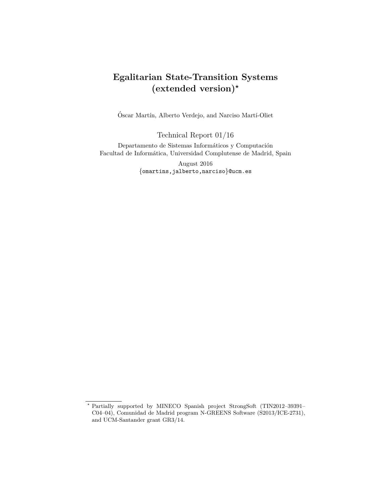# <span id="page-0-0"></span>**Egalitarian State-Transition Systems (extended version)***?*

Óscar Martín, Alberto Verdejo, and Narciso Martí-Oliet

Technical Report 01/16

Departamento de Sistemas Informáticos y Computación Facultad de Informática, Universidad Complutense de Madrid, Spain

> August 2016 {omartins,jalberto,narciso}@ucm.es

*<sup>?</sup>* Partially supported by MINECO Spanish project StrongSoft (TIN2012–39391– C04–04), Comunidad de Madrid program N-GREENS Software (S2013/ICE-2731), and UCM-Santander grant GR3/14.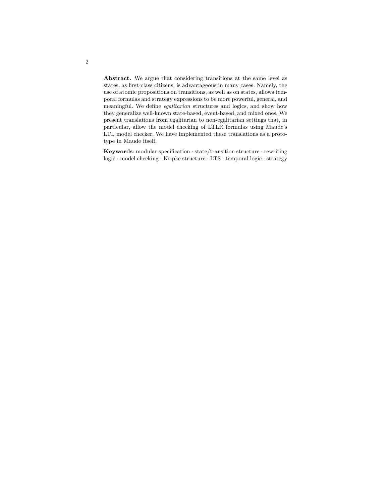**Abstract.** We argue that considering transitions at the same level as states, as first-class citizens, is advantageous in many cases. Namely, the use of atomic propositions on transitions, as well as on states, allows temporal formulas and strategy expressions to be more powerful, general, and meaningful. We define *egalitarian* structures and logics, and show how they generalize well-known state-based, event-based, and mixed ones. We present translations from egalitarian to non-egalitarian settings that, in particular, allow the model checking of LTLR formulas using Maude's LTL model checker. We have implemented these translations as a prototype in Maude itself.

**Keywords**: modular specification · state/transition structure · rewriting logic · model checking · Kripke structure · LTS · temporal logic · strategy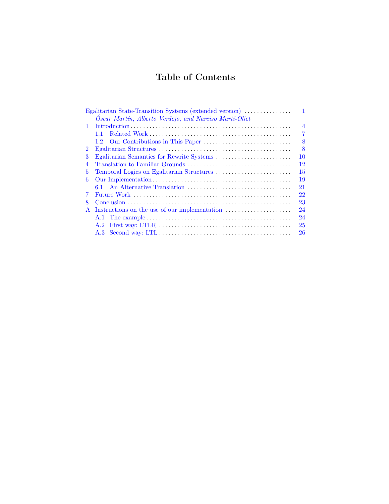# **Table of Contents**

|                | Egalitarian State-Transition Systems (extended version) | 1              |  |  |  |
|----------------|---------------------------------------------------------|----------------|--|--|--|
|                | Óscar Martín, Alberto Verdejo, and Narciso Martí-Oliet  |                |  |  |  |
| 1.             |                                                         | $\overline{4}$ |  |  |  |
|                | 11                                                      | 7              |  |  |  |
|                | $1.2^{\circ}$                                           | 8              |  |  |  |
| $\overline{2}$ |                                                         | 8              |  |  |  |
| 3              |                                                         | 10             |  |  |  |
| 4              |                                                         | 12             |  |  |  |
| 5              |                                                         | 15             |  |  |  |
| 6              |                                                         | 19             |  |  |  |
|                | 6.1                                                     | 21             |  |  |  |
| 7              |                                                         | 22             |  |  |  |
| 8              |                                                         | 23             |  |  |  |
|                | 24<br>A Instructions on the use of our implementation   |                |  |  |  |
|                |                                                         | 24             |  |  |  |
|                | A.2                                                     | 25             |  |  |  |
|                |                                                         | 26             |  |  |  |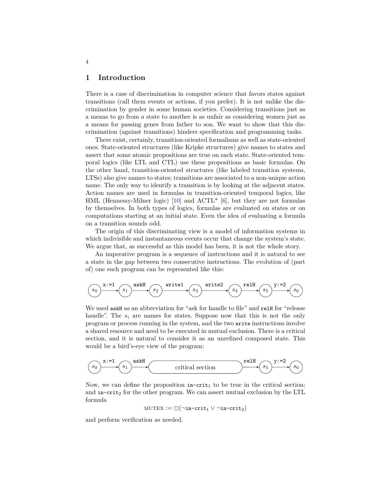### <span id="page-3-0"></span>**1 Introduction**

There is a case of discrimination in computer science that favors states against transitions (call them events or actions, if you prefer). It is not unlike the discrimination by gender in some human societies. Considering transitions just as a means to go from a state to another is as unfair as considering women just as a means for passing genes from father to son. We want to show that this discrimination (against transitions) hinders specification and programming tasks.

There exist, certainly, transition-oriented formalisms as well as state-oriented ones. State-oriented structures (like Kripke structures) give names to states and assert that some atomic propositions are true on each state. State-oriented temporal logics (like LTL and CTL) use these propositions as basic formulas. On the other hand, transition-oriented structures (like labeled transition systems, LTSs) also give names to states; transitions are associated to a non-unique action name. The only way to identify a transition is by looking at the adjacent states. Action names are used in formulas in transition-oriented temporal logics, like HML (Hennessy-Milner logic)  $[10]$  and ACTL\*  $[6]$ , but they are not formulas by themselves. In both types of logics, formulas are evaluated on states or on computations starting at an initial state. Even the idea of evaluating a formula on a transition sounds odd.

The origin of this discriminating view is a model of information systems in which indivisible and instantaneous events occur that change the system's state. We argue that, as successful as this model has been, it is not the whole story.

An imperative program is a sequence of instructions and it is natural to see a state in the gap between two consecutive instructions. The evolution of (part of) one such program can be represented like this:

$$
(s_0) \xrightarrow{x:=1} (s_1) \xrightarrow{askH} (s_2) \xrightarrow{write1} (s_3) \xrightarrow{write2} (s_4) \xrightarrow{relH} (s_5) \xrightarrow{y:=2} (s_6)
$$

We used askH as an abbreviation for "ask for handle to file" and relH for "release handle". The  $s_i$  are names for states. Suppose now that this is not the only program or process running in the system, and the two write instructions involve a shared resource and need to be executed in mutual exclusion. There is a critical section, and it is natural to consider it as an unrefined composed state. This would be a bird's-eye view of the program:



Now, we can define the proposition  $\text{in-crit}_1$  to be true in the critical section; and  $\text{in-crit}_2$  for the other program. We can assert mutual exclusion by the LTL formula

 $MUTEX := \Box(\neg in\text{-crit}_1 \vee \neg in\text{-crit}_2)$ 

and perform verification as needed.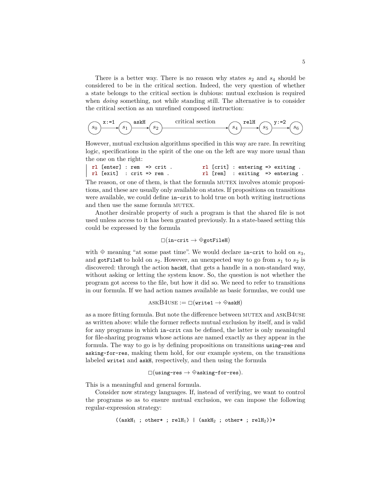There is a better way. There is no reason why states  $s_2$  and  $s_4$  should be considered to be in the critical section. Indeed, the very question of whether a state belongs to the critical section is dubious: mutual exclusion is required when *doing* something, not while standing still. The alternative is to consider the critical section as an unrefined composed instruction:

$$
(s_0)^{x:=1} (s_1)^{askH} (s_2)^{\text{critical section}} (s_4)^{\text{rellH}} (s_5)^{y:=2} (s_6)
$$

However, mutual exclusion algorithms specified in this way are rare. In rewriting logic, specifications in the spirit of the one on the left are way more usual than the one on the right:

**rl** [enter] : rem => crit . **rl** [crit] : entering => exiting . **rl** [exit] : crit => rem . **rl** [rem] : exiting => entering .

The reason, or one of them, is that the formula MUTEX involves atomic propositions, and these are usually only available on states. If propositions on transitions were available, we could define in-crit to hold true on both writing instructions and then use the same formula MUTEX.

Another desirable property of such a program is that the shared file is not used unless access to it has been granted previously. In a state-based setting this could be expressed by the formula

 $\Box$ (in-crit  $\rightarrow \Diamond$  gotFileH)

with  $\diamond$  meaning "at some past time". We would declare in-crit to hold on  $s_3$ , and gotFileH to hold on  $s_2$ . However, an unexpected way to go from  $s_1$  to  $s_2$  is discovered: through the action hackH, that gets a handle in a non-standard way, without asking or letting the system know. So, the question is not whether the program got access to the file, but how it did so. We need to refer to transitions in our formula. If we had action names available as basic formulas, we could use

$$
\mathop{\textrm{ASKB4USE}} := \Box(\mathop{\textrm{write1}} \to \mathbin{\hat{\otimes}} \mathop{\textrm{askH}})
$$

as a more fitting formula. But note the difference between mutex and askB4use as written above: while the former reflects mutual exclusion by itself, and is valid for any programs in which in-crit can be defined, the latter is only meaningful for file-sharing programs whose actions are named exactly as they appear in the formula. The way to go is by defining propositions on transitions using-res and asking-for-res, making them hold, for our example system, on the transitions labeled write1 and askH, respectively, and then using the formula

$$
\Box\big(\text{using-res}\rightarrow\mathbin{\hat\otimes}\text{asking-for-res}\big).
$$

This is a meaningful and general formula.

Consider now strategy languages. If, instead of verifying, we want to control the programs so as to ensure mutual exclusion, we can impose the following regular-expression strategy:

```
((askH<sub>1</sub> ; other* ; relH<sub>1</sub>) | (askH<sub>2</sub> ; other* ; relH<sub>2</sub>))*
```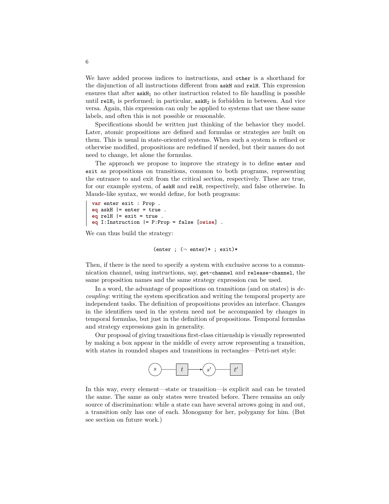We have added process indices to instructions, and other is a shorthand for the disjunction of all instructions different from askH and relH. This expression ensures that after  $a$ sk $H_1$  no other instruction related to file handling is possible until relH<sub>1</sub> is performed; in particular,  $a s kH_2$  is forbidden in between. And vice versa. Again, this expression can only be applied to systems that use these same labels, and often this is not possible or reasonable.

Specifications should be written just thinking of the behavior they model. Later, atomic propositions are defined and formulas or strategies are built on them. This is usual in state-oriented systems. When such a system is refined or otherwise modified, propositions are redefined if needed, but their names do not need to change, let alone the formulas.

The approach we propose to improve the strategy is to define enter and exit as propositions on transitions, common to both programs, representing the entrance to and exit from the critical section, respectively. These are true, for our example system, of askH and relH, respectively, and false otherwise. In Maude-like syntax, we would define, for both programs:

```
var enter exit : Prop .
eq askH |= enter = true .
eq relH |= exit = true .
eq I:Instruction |= P:Prop = false [owise] .
```
We can thus build the strategy:

```
(enter ; ( \lnot enter)* ; exit)*
```
Then, if there is the need to specify a system with exclusive access to a communication channel, using instructions, say, get-channel and release-channel, the same proposition names and the same strategy expression can be used.

In a word, the advantage of propositions on transitions (and on states) is *decoupling*: writing the system specification and writing the temporal property are independent tasks. The definition of propositions provides an interface. Changes in the identifiers used in the system need not be accompanied by changes in temporal formulas, but just in the definition of propositions. Temporal formulas and strategy expressions gain in generality.

Our proposal of giving transitions first-class citizenship is visually represented by making a box appear in the middle of every arrow representing a transition, with states in rounded shapes and transitions in rectangles—Petri-net style:



In this way, every element—state or transition—is explicit and can be treated the same. The same as only states were treated before. There remains an only source of discrimination: while a state can have several arrows going in and out, a transition only has one of each. Monogamy for her, polygamy for him. (But see section on future work.)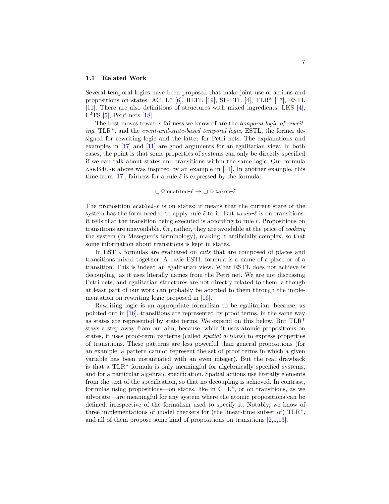#### <span id="page-6-0"></span>**1.1 Related Work**

Several temporal logics have been proposed that make joint use of actions and propositions on states:  $ACTL^*$  [\[6\]](#page-26-1), RLTL [\[19\]](#page-27-0), SE-LTL [\[4\]](#page-26-2), TLR\* [\[17\]](#page-27-1), ESTL [\[11\]](#page-26-3). There are also definitions of structures with mixed ingredients: LKS [\[4\]](#page-26-2),  $L^{2}TS$  [\[5\]](#page-26-4), Petri nets [\[18\]](#page-27-2).

The best moves towards fairness we know of are the *temporal logic of rewriting*, TLR\*, and the *event-and-state-based temporal logic*, ESTL, the former designed for rewriting logic and the latter for Petri nets. The explanations and examples in [\[17\]](#page-27-1) and [\[11\]](#page-26-3) are good arguments for an egalitarian view. In both cases, the point is that some properties of systems can only be directly specified if we can talk about states and transitions within the same logic. Our formula ASKB4USE above was inspired by an example in  $[11]$ . In another example, this time from [\[17\]](#page-27-1), fairness for a rule  $\ell$  is expressed by the formula:

 $\Box$   $\diamondsuit$  enabled- $\ell \rightarrow \Box$   $\diamondsuit$  taken- $\ell$ 

The proposition enabled- $\ell$  is on states: it means that the current state of the system has the form needed to apply rule  $\ell$  to it. But taken- $\ell$  is on transitions: it tells that the transition being executed is according to rule  $\ell$ . Propositions on transitions are unavoidable. Or, rather, they are avoidable at the price of *cooking* the system (in Meseguer's terminology), making it artificially complex, so that some information about transitions is kept in states.

In ESTL, formulas are evaluated on *cuts* that are composed of places and transitions mixed together. A basic ESTL formula is a name of a place or of a transition. This is indeed an egalitarian view. What ESTL does not achieve is decoupling, as it uses literally names from the Petri net. We are not discussing Petri nets, and egalitarian structures are not directly related to them, although at least part of our work can probably be adapted to them through the implementation on rewriting logic proposed in [\[16\]](#page-27-3).

Rewriting logic is an appropriate formalism to be egalitarian, because, as pointed out in  $[16]$ , transitions are represented by proof terms, in the same way as states are represented by state terms. We expand on this below. But TLR\* stays a step away from our aim, because, while it uses atomic propositions on states, it uses proof-term patterns (called *spatial actions*) to express properties of transitions. These patterns are less powerful than general propositions (for an example, a pattern cannot represent the set of proof terms in which a given variable has been instantiated with an even integer). But the real drawback is that a TLR\* formula is only meaningful for algebraically specified systems, and for a particular algebraic specification. Spatial actions use literally elements from the text of the specification, so that no decoupling is achieved. In contrast, formulas using propositions—on states, like in CTL\*, or on transitions, as we advocate—are meaningful for any system where the atomic propositions can be defined, irrespective of the formalism used to specify it. Notably, we know of three implementations of model checkers for (the linear-time subset of) TLR\*, and all of them propose some kind of propositions on transitions [\[2,](#page-26-5)[1](#page-26-6)[,13\]](#page-26-7).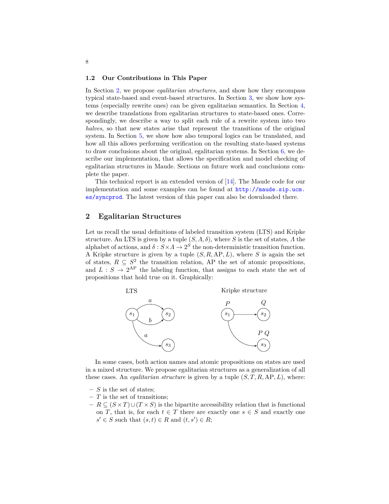#### <span id="page-7-0"></span>**1.2 Our Contributions in This Paper**

In Section [2,](#page-7-1) we propose *egalitarian structures*, and show how they encompass typical state-based and event-based structures. In Section [3,](#page-9-0) we show how systems (especially rewrite ones) can be given egalitarian semantics. In Section [4,](#page-11-0) we describe translations from egalitarian structures to state-based ones. Correspondingly, we describe a way to split each rule of a rewrite system into two *halves*, so that new states arise that represent the transitions of the original system. In Section [5,](#page-14-0) we show how also temporal logics can be translated, and how all this allows performing verification on the resulting state-based systems to draw conclusions about the original, egalitarian systems. In Section [6,](#page-18-0) we describe our implementation, that allows the specification and model checking of egalitarian structures in Maude. Sections on future work and conclusions complete the paper.

This technical report is an extended version of [\[14\]](#page-27-4). The Maude code for our implementation and some examples can be found at [http://maude.sip.ucm.](http://maude.sip.ucm.es/syncprod) [es/syncprod](http://maude.sip.ucm.es/syncprod). The latest version of this paper can also be downloaded there.

# <span id="page-7-1"></span>**2 Egalitarian Structures**

Let us recall the usual definitions of labeled transition system (LTS) and Kripke structure. An LTS is given by a tuple (*S, Λ, δ*), where *S* is the set of states, *Λ* the alphabet of actions, and  $\delta: S \times A \to 2^S$  the non-deterministic transition function. A Kripke structure is given by a tuple (*S, R,* AP*, L*), where *S* is again the set of states,  $R \subseteq S^2$  the transition relation, AP the set of atomic propositions, and  $L : S \to 2^{\text{AP}}$  the labeling function, that assigns to each state the set of propositions that hold true on it. Graphically:



In some cases, both action names and atomic propositions on states are used in a mixed structure. We propose egalitarian structures as a generalization of all these cases. An *egalitarian structure* is given by a tuple (*S, T, R,* AP*, L*), where:

- **–** *S* is the set of states;
- **–** *T* is the set of transitions;
- **–** *R* ⊆ (*S* ×*T*)∪(*T* ×*S*) is the bipartite accessibility relation that is functional on *T*, that is, for each  $t \in T$  there are exactly one  $s \in S$  and exactly one  $s' \in S$  such that  $(s, t) \in R$  and  $(t, s') \in R$ ;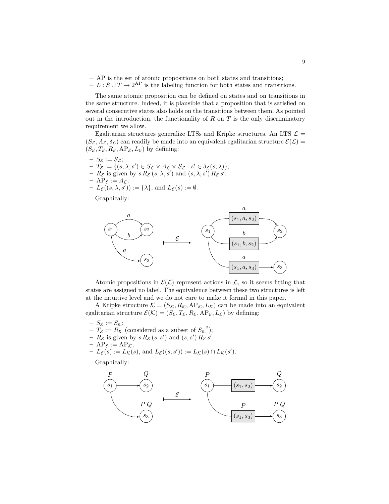- **–** AP is the set of atomic propositions on both states and transitions;
- $− L : S \cup T \rightarrow 2^{AP}$  is the labeling function for both states and transitions.

The same atomic proposition can be defined on states and on transitions in the same structure. Indeed, it is plausible that a proposition that is satisfied on several consecutive states also holds on the transitions between them. As pointed out in the introduction, the functionality of *R* on *T* is the only discriminatory requirement we allow.

Egalitarian structures generalize LTSs and Kripke structures. An LTS  $\mathcal{L} =$  $(S_{\mathcal{L}}, \Lambda_{\mathcal{L}}, \delta_{\mathcal{L}})$  can readily be made into an equivalent egalitarian structure  $\mathcal{E}(\mathcal{L}) =$  $(S_{\mathcal{E}}, T_{\mathcal{E}}, R_{\mathcal{E}}, AP_{\mathcal{E}}, L_{\mathcal{E}})$  by defining:

 $- S_{\mathcal{E}} := S_{\mathcal{L}};$  $-T_{\mathcal{E}} := \{(s, \lambda, s') \in S_{\mathcal{L}} \times \Lambda_{\mathcal{L}} \times S_{\mathcal{L}} : s' \in \delta_{\mathcal{L}}(s, \lambda)\};\$  $-$  *R<sub>E</sub>* is given by *s R<sub>E</sub>* (*s*,  $\lambda$ , *s*') and (*s*,  $\lambda$ , *s*') *R<sub>E</sub> s*';  $- AP_{\mathcal{E}} := A_{\mathcal{L}};$  $-L_{\mathcal{E}}((s, \lambda, s')) := {\lambda}, \text{ and } L_{\mathcal{E}}(s) := \emptyset.$ 

Graphically:



Atomic propositions in  $\mathcal{E}(\mathcal{L})$  represent actions in  $\mathcal{L}$ , so it seems fitting that states are assigned no label. The equivalence between these two structures is left at the intuitive level and we do not care to make it formal in this paper.

A Kripke structure  $\mathcal{K} = (S_{\mathcal{K}}, R_{\mathcal{K}}, AP_{\mathcal{K}}, L_{\mathcal{K}})$  can be made into an equivalent egalitarian structure  $\mathcal{E}(\mathcal{K}) = (S_{\mathcal{E}}, T_{\mathcal{E}}, R_{\mathcal{E}}, AP_{\mathcal{E}}, L_{\mathcal{E}})$  by defining:

- $S_{\mathcal{E}} := S_{\mathcal{K}};$
- $-\overline{T}_{\mathcal{E}} := \overline{R}_{\mathcal{K}}$  (considered as a subset of  $S_{\mathcal{K}}^2$ );
- $R_{\mathcal{E}}$  is given by  $s R_{\mathcal{E}}(s, s')$  and  $(s, s') R_{\mathcal{E}} s'$ ;

$$
- AP_{\mathcal{E}} := AP_{\mathcal{K}};
$$

$$
- L_{\mathcal{E}}(s) := L_{\mathcal{K}}(s), \text{ and } L_{\mathcal{E}}((s, s')) := L_{\mathcal{K}}(s) \cap L_{\mathcal{K}}(s').
$$

Graphically:

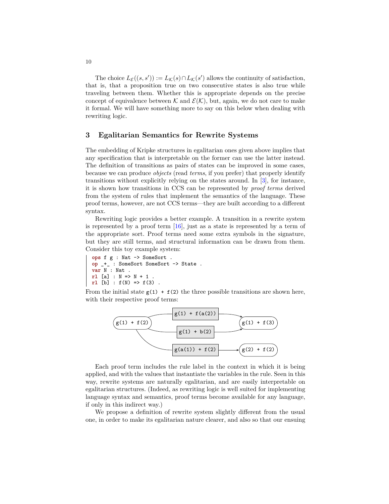The choice  $L_{\mathcal{E}}((s, s')) := L_{\mathcal{K}}(s) \cap L_{\mathcal{K}}(s')$  allows the continuity of satisfaction, that is, that a proposition true on two consecutive states is also true while traveling between them. Whether this is appropriate depends on the precise concept of equivalence between  $\mathcal K$  and  $\mathcal E(\mathcal K)$ , but, again, we do not care to make it formal. We will have something more to say on this below when dealing with rewriting logic.

## <span id="page-9-0"></span>**3 Egalitarian Semantics for Rewrite Systems**

The embedding of Kripke structures in egalitarian ones given above implies that any specification that is interpretable on the former can use the latter instead. The definition of transitions as pairs of states can be improved in some cases, because we can produce *objects* (read *terms*, if you prefer) that properly identify transitions without explicitly relying on the states around. In [\[3\]](#page-26-8), for instance, it is shown how transitions in CCS can be represented by *proof terms* derived from the system of rules that implement the semantics of the language. These proof terms, however, are not CCS terms—they are built according to a different syntax.

Rewriting logic provides a better example. A transition in a rewrite system is represented by a proof term  $[16]$ , just as a state is represented by a term of the appropriate sort. Proof terms need some extra symbols in the signature, but they are still terms, and structural information can be drawn from them. Consider this toy example system:

**ops** f g : Nat -> SomeSort . **op** \_+\_ : SomeSort SomeSort -> State . **var** N : Nat . **rl** [a] : N => N + 1 .  $r1 [b] : f(N) \Rightarrow f(3)$ 

<span id="page-9-1"></span>From the initial state  $g(1) + f(2)$  the three possible transitions are shown here, with their respective proof terms:



Each proof term includes the rule label in the context in which it is being applied, and with the values that instantiate the variables in the rule. Seen in this way, rewrite systems are naturally egalitarian, and are easily interpretable on egalitarian structures. (Indeed, as rewriting logic is well suited for implementing language syntax and semantics, proof terms become available for any language, if only in this indirect way.)

We propose a definition of rewrite system slightly different from the usual one, in order to make its egalitarian nature clearer, and also so that our ensuing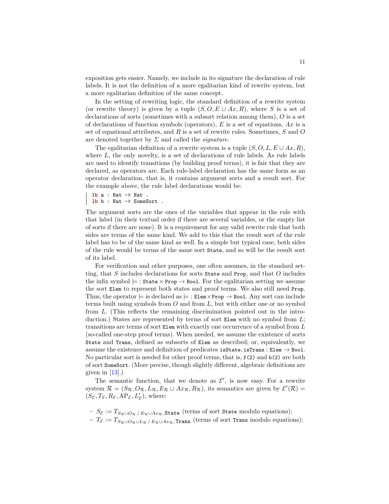exposition gets easier. Namely, we include in its signature the declaration of rule labels. It is not the definition of a more egalitarian kind of rewrite system, but a more egalitarian definition of the same concept.

In the setting of rewriting logic, the standard definition of a rewrite system (or rewrite theory) is given by a tuple  $(S, O, E \cup Ax, R)$ , where *S* is a set of declarations of sorts (sometimes with a subsort relation among them), *O* is a set of declarations of function symbols (operators), *E* is a set of equations, *Ax* is a set of equational attributes, and *R* is a set of rewrite rules. Sometimes, *S* and *O* are denoted together by *Σ* and called the *signature*.

The egalitarian definition of a rewrite system is a tuple  $(S, O, L, E \cup Ax, R)$ , where L, the only novelty, is a set of declarations of rule labels. As rule labels are used to identify transitions (by building proof terms), it is fair that they are declared, as operators are. Each rule-label declaration has the same form as an operator declaration, that is, it contains argument sorts and a result sort. For the example above, the rule label declarations would be:

**lb** a : Nat -> Nat . **lb** b : Nat -> SomeSort .

The argument sorts are the ones of the variables that appear in the rule with that label (in their textual order if there are several variables, or the empty list of sorts if there are none). It is a requirement for any valid rewrite rule that both sides are terms of the same kind. We add to this that the result sort of the rule label has to be of the same kind as well. In a simple but typical case, both sides of the rule would be terms of the same sort State, and so will be the result sort of its label.

For verification and other purposes, one often assumes, in the standard setting, that *S* includes declarations for sorts State and Prop, and that *O* includes the infix symbol  $\models$ : State  $\times$  Prop  $\rightarrow$  Bool. For the egalitarian setting we assume the sort Elem to represent both states and proof terms. We also still need Prop. Thus, the operator  $\models$  is declared as  $\models$ : Elem×Prop  $\rightarrow$  Bool. Any sort can include terms built using symbols from *O* and from *L*, but with either one or no symbol from *L*. (This reflects the remaining discrimination pointed out in the introduction.) States are represented by terms of sort Elem with no symbol from *L*; transitions are terms of sort Elem with exactly one occurrence of a symbol from *L* (so-called one-step proof terms). When needed, we assume the existence of sorts State and Trans, defined as subsorts of Elem as described; or, equivalently, we assume the existence and definition of predicates isState*,* isTrans : Elem → Bool. No particular sort is needed for other proof terms, that is,  $f(2)$  and  $b(2)$  are both of sort SomeSort. (More precise, though slightly different, algebraic definitions are given in  $[13]$ .)

The semantic function, that we denote as  $\mathcal{E}'$ , is now easy. For a rewrite system  $\mathcal{R} = (S_{\mathcal{R}}, O_{\mathcal{R}}, L_{\mathcal{R}}, E_{\mathcal{R}} \cup Ax_{\mathcal{R}}, R_{\mathcal{R}})$ , its semantics are given by  $\mathcal{E}'(\mathcal{R}) =$  $(S_{\mathcal{E}}, T_{\mathcal{E}}, R_{\mathcal{E}}, AP_{\mathcal{E}}, L'_{\mathcal{E}})$ , where:

- $S_{\mathcal{E}}$  :=  $T_{S_{\mathcal{R}} \cup O_{\mathcal{R}}}/E_{\mathcal{R}} \cup Ax_{\mathcal{R}}$ , State (terms of sort State modulo equations);
- $-$  *T*<sub>E</sub> := *T*<sub>SR∪OR∪LR</sup> / E<sub>R</sub>∪Ax<sub>R</sub></sub>, Trans (terms of sort Trans modulo equations);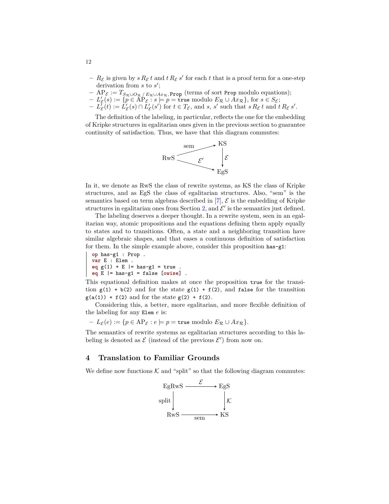- $R_{\mathcal{E}}$  is given by  $s R_{\mathcal{E}} t$  and  $t R_{\mathcal{E}} s'$  for each  $t$  that is a proof term for a one-step derivation from  $s$  to  $s'$ ;
- **–** AP<sup>E</sup> := *TS*R∪*O*<sup>R</sup> */ E*R∪*Ax*R*,* Prop (terms of sort Prop modulo equations);
- $-L_{\mathcal{E}}(s) := \{p \in \mathsf{AP}_{\mathcal{E}} : s \models p = \text{true} \text{ modulo } E_{\mathcal{R}} \cup Ax_{\mathcal{R}}\}, \text{ for } s \in S_{\mathcal{E}};$
- $-L_{\mathcal{E}}^{\mathcal{F}}(t) := \tilde{L}_{\mathcal{E}}^{\mathcal{F}}(s) \cap L_{\mathcal{E}}^{\mathcal{F}}(s^{\mathcal{F}})$  for  $t \in T_{\mathcal{E}}$ , and *s*, *s'* such that  $s R_{\mathcal{E}} t$  and  $t R_{\mathcal{E}} s^{\mathcal{F}}$ .

The definition of the labeling, in particular, reflects the one for the embedding of Kripke structures in egalitarian ones given in the previous section to guarantee continuity of satisfaction. Thus, we have that this diagram commutes:



In it, we denote as RwS the class of rewrite systems, as KS the class of Kripke structures, and as EgS the class of egalitarian structures. Also, "sem" is the semantics based on term algebras described in [\[7\]](#page-26-9),  $\mathcal{E}$  is the embedding of Kripke structures in egalitarian ones from Section [2,](#page-7-1) and  $\mathcal{E}'$  is the semantics just defined.

The labeling deserves a deeper thought. In a rewrite system, seen in an egalitarian way, atomic propositions and the equations defining them apply equally to states and to transitions. Often, a state and a neighboring transition have similar algebraic shapes, and that eases a continuous definition of satisfaction for them. In the simple example above, consider this proposition has- $g1$ :

**op** has-g1 : Prop . **var** E : Elem . **eq** g(1) + E |= has-g1 = true . **eq** E |= has-g1 = false [**owise**] .

This equational definition makes at once the proposition true for the transition  $g(1) + b(2)$  and for the state  $g(1) + f(2)$ , and false for the transition  $g(a(1)) + f(2)$  and for the state  $g(2) + f(2)$ .

Considering this, a better, more egalitarian, and more flexible definition of the labeling for any Elem *e* is:

 $- L_{\mathcal{E}}(e) := \{ p \in AP_{\mathcal{E}} : e \models p = \text{true} \text{ modulo } E_{\mathcal{R}} \cup Ax_{\mathcal{R}} \}.$ 

The semantics of rewrite systems as egalitarian structures according to this labeling is denoted as  $\mathcal E$  (instead of the previous  $\mathcal E'$ ) from now on.

## <span id="page-11-0"></span>**4 Translation to Familiar Grounds**

We define now functions  $K$  and "split" so that the following diagram commutes:



12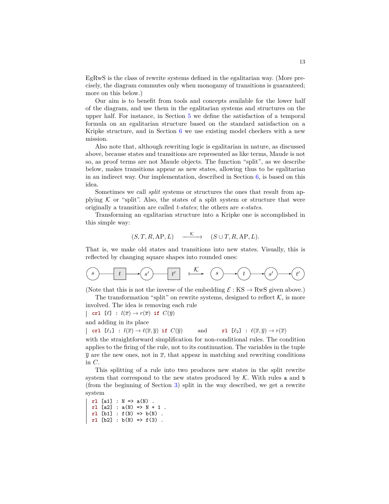EgRwS is the class of rewrite systems defined in the egalitarian way. (More precisely, the diagram commutes only when monogamy of transitions is guaranteed; more on this below.)

Our aim is to benefit from tools and concepts available for the lower half of the diagram, and use them in the egalitarian systems and structures on the upper half. For instance, in Section [5](#page-14-0) we define the satisfaction of a temporal formula on an egalitarian structure based on the standard satisfaction on a Kripke structure, and in Section [6](#page-18-0) we use existing model checkers with a new mission.

Also note that, although rewriting logic is egalitarian in nature, as discussed above, because states and transitions are represented as like terms, Maude is not so, as proof terms are not Maude objects. The function "split", as we describe below, makes transitions appear as new states, allowing thus to be egalitarian in an indirect way. Our implementation, described in Section [6,](#page-18-0) is based on this idea.

Sometimes we call *split* systems or structures the ones that result from applying  $K$  or "split". Also, the states of a split system or structure that were originally a transition are called *t-states*; the others are *s-states*.

Transforming an egalitarian structure into a Kripke one is accomplished in this simple way:

$$
(S, T, R, AP, L) \xrightarrow{\mathcal{K}} (S \cup T, R, AP, L).
$$

That is, we make old states and transitions into new states. Visually, this is reflected by changing square shapes into rounded ones:

$$
(s) \t t \t (s') \t t' \t t' \t t' \t (s) \t (t') \t (s') \t (t')
$$

(Note that this is not the inverse of the embedding  $\mathcal{E}: KS \to RwS$  given above.)

The transformation "split" on rewrite systems, designed to reflect  $K$ , is more involved. The idea is removing each rule

 $\vert$  crl  $[\ell] : l(\overline{x}) \to r(\overline{x})$  if  $C(\overline{y})$ 

and adding in its place

**crl**  $[\ell_1] : l(\overline{x}) \to \ell(\overline{x}, \overline{y})$  **if**  $C(\overline{y})$  and **rl**  $[\ell_2] : \ell(\overline{x}, \overline{y}) \to r(\overline{x})$ 

with the straightforward simplification for non-conditional rules. The condition applies to the firing of the rule, not to its continuation. The variables in the tuple  $\overline{y}$  are the new ones, not in  $\overline{x}$ , that appear in matching and rewriting conditions in *C*.

This splitting of a rule into two produces new states in the split rewrite system that correspond to the new states produced by  $K$ . With rules a and b (from the beginning of Section [3\)](#page-9-1) split in the way described, we get a rewrite system

**rl** [a1] : N => a(N) . **rl** [a2] : a(N) => N + 1 . **rl** [b1] : f(N) => b(N) . **rl** [b2] : b(N) => f(3) .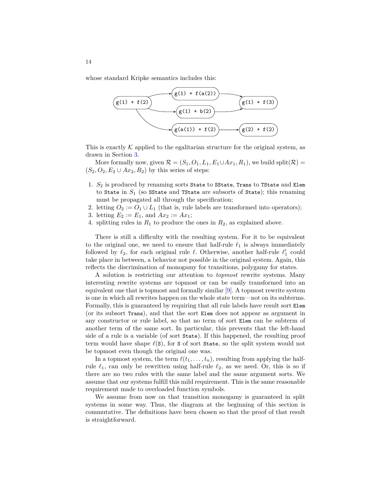whose standard Kripke semantics includes this:



This is exactly  $K$  applied to the egalitarian structure for the original system, as drawn in Section [3.](#page-9-1)

More formally now, given  $\mathcal{R} = (S_1, O_1, L_1, E_1 \cup Ax_1, R_1)$ , we build split $(\mathcal{R})$  $(S_2, O_2, E_2 \cup Ax_2, R_2)$  by this series of steps:

- 1. *S*<sup>2</sup> is produced by renaming sorts State to SState, Trans to TState and Elem to State in *S*<sup>1</sup> (so SState and TState are subsorts of State); this renaming must be propagated all through the specification;
- 2. letting  $O_2 := O_1 \cup L_1$  (that is, rule labels are transformed into operators);
- 3. letting  $E_2 := E_1$ , and  $Ax_2 := Ax_1$ ;
- 4. splitting rules in  $R_1$  to produce the ones in  $R_2$ , as explained above.

There is still a difficulty with the resulting system. For it to be equivalent to the original one, we need to ensure that half-rule  $\ell_1$  is always immediately followed by  $\ell_2$ , for each original rule  $\ell$ . Otherwise, another half-rule  $\ell'_1$  could take place in between, a behavior not possible in the original system. Again, this reflects the discrimination of monogamy for transitions, polygamy for states.

A solution is restricting our attention to *topmost* rewrite systems. Many interesting rewrite systems are topmost or can be easily transformed into an equivalent one that is topmost and formally similar [\[9\]](#page-26-10). A topmost rewrite system is one in which all rewrites happen on the whole state term—not on its subterms. Formally, this is guaranteed by requiring that all rule labels have result sort Elem (or its subsort Trans), and that the sort Elem does not appear as argument in any constructor or rule label, so that no term of sort Elem can be subterm of another term of the same sort. In particular, this prevents that the left-hand side of a rule is a variable (of sort State). If this happened, the resulting proof term would have shape  $\ell(\mathbf{S})$ , for **S** of sort **State**, so the split system would not be topmost even though the original one was.

In a topmost system, the term  $\ell(t_1, \ldots, t_n)$ , resulting from applying the halfrule  $\ell_1$ , can only be rewritten using half-rule  $\ell_2$ , as we need. Or, this is so if there are no two rules with the same label and the same argument sorts. We assume that our systems fulfill this mild requirement. This is the same reasonable requirement made to overloaded function symbols.

We assume from now on that transition monogamy is guaranteed in split systems in some way. Thus, the diagram at the beginning of this section is commutative. The definitions have been chosen so that the proof of that result is straightforward.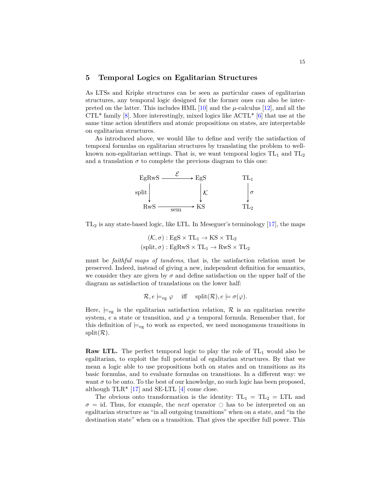## <span id="page-14-0"></span>**5 Temporal Logics on Egalitarian Structures**

As LTSs and Kripke structures can be seen as particular cases of egalitarian structures, any temporal logic designed for the former ones can also be interpreted on the latter. This includes HML  $[10]$  and the  $\mu$ -calculus  $[12]$ , and all the CTL<sup>\*</sup> family [\[8\]](#page-26-12). More interestingly, mixed logics like  $\text{ACTL}^*$  [\[6\]](#page-26-1) that use at the same time action identifiers and atomic propositions on states, are interpretable on egalitarian structures.

As introduced above, we would like to define and verify the satisfaction of temporal formulas on egalitarian structures by translating the problem to wellknown non-egalitarian settings. That is, we want temporal logics  $TL_1$  and  $TL_2$ and a translation  $\sigma$  to complete the previous diagram to this one:



 $TL_2$  is any state-based logic, like LTL. In Meseguer's terminology  $[17]$ , the maps

$$
(\mathcal{K}, \sigma) : \text{EgS} \times \text{TL}_1 \to \text{KS} \times \text{TL}_2
$$
  
(split,  $\sigma) : \text{EgRwS} \times \text{TL}_1 \to \text{RwS} \times \text{TL}_2$ 

must be *faithful maps of tandems*, that is, the satisfaction relation must be preserved. Indeed, instead of giving a new, independent definition for semantics, we consider they are given by  $\sigma$  and define satisfaction on the upper half of the diagram as satisfaction of translations on the lower half:

$$
\mathcal{R}, e \models_{eg} \varphi
$$
 iff split $(\mathcal{R}), e \models \sigma(\varphi)$ .

Here,  $\models_{eg}$  is the egalitarian satisfaction relation,  $\mathcal{R}$  is an egalitarian rewrite system,  $e$  a state or transition, and  $\varphi$  a temporal formula. Remember that, for this definition of  $\models_{eg}$  to work as expected, we need monogamous transitions in  $split(\mathcal{R}).$ 

**Raw LTL.** The perfect temporal logic to play the role of  $TL_1$  would also be egalitarian, to exploit the full potential of egalitarian structures. By that we mean a logic able to use propositions both on states and on transitions as its basic formulas, and to evaluate formulas on transitions. In a different way: we want  $\sigma$  to be onto. To the best of our knowledge, no such logic has been proposed, although  $TLR^*$  [\[17\]](#page-27-1) and SE-LTL [\[4\]](#page-26-2) come close.

The obvious onto transformation is the identity:  $TL_1 = TL_2 = LTL$  and  $\sigma = id$ . Thus, for example, the *next* operator  $\circ$  has to be interpreted on an egalitarian structure as "in all outgoing transitions" when on a state, and "in the destination state" when on a transition. That gives the specifier full power. This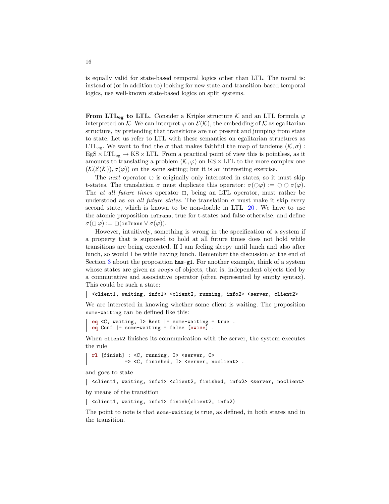is equally valid for state-based temporal logics other than LTL. The moral is: instead of (or in addition to) looking for new state-and-transition-based temporal logics, use well-known state-based logics on split systems.

**From LTL**<sub>eg</sub> **to LTL.** Consider a Kripke structure K and an LTL formula  $\varphi$ interpreted on K. We can interpret  $\varphi$  on  $\mathcal{E}(\mathcal{K})$ , the embedding of K as egalitarian structure, by pretending that transitions are not present and jumping from state to state. Let us refer to LTL with these semantics on egalitarian structures as LTL<sub>eg</sub>. We want to find the  $\sigma$  that makes faithful the map of tandems  $(\mathcal{K}, \sigma)$ :  $EgS \times LTL_{eg} \rightarrow KS \times LTL$ . From a practical point of view this is pointless, as it amounts to translating a problem  $(\mathcal{K}, \varphi)$  on KS  $\times$  LTL to the more complex one  $(\mathcal{K}(\mathcal{E}(\mathcal{K})), \sigma(\varphi))$  on the same setting; but it is an interesting exercise.

The *next* operator  $\circ$  is originally only interested in states, so it must skip t-states. The translation *σ* must duplicate this operator:  $\sigma(\bigcirc\varphi) := \bigcirc \bigcirc \sigma(\varphi)$ . The *at all future times* operator  $\Box$ , being an LTL operator, must rather be understood as *on all future states*. The translation  $\sigma$  must make it skip every second state, which is known to be non-doable in LTL [\[20\]](#page-27-5). We have to use the atomic proposition isTrans, true for t-states and false otherwise, and define  $\sigma(\Box \varphi) := \Box(\texttt{isTrans} \lor \sigma(\varphi)).$ 

However, intuitively, something is wrong in the specification of a system if a property that is supposed to hold at all future times does not hold while transitions are being executed. If I am feeling sleepy until lunch and also after lunch, so would I be while having lunch. Remember the discussion at the end of Section [3](#page-9-0) about the proposition has-g1. For another example, think of a system whose states are given as *soups* of objects, that is, independent objects tied by a commutative and associative operator (often represented by empty syntax). This could be such a state:

<client1, waiting, info1> <client2, running, info2> <server, client2>

We are interested in knowing whether some client is waiting. The proposition some-waiting can be defined like this:

```
eq <C, waiting, I> Rest |= some-waiting = true .
eq Conf |= some-waiting = false [owise] .
```
When client2 finishes its communication with the server, the system executes the rule

```
rl [finish] : <C, running, I> <server, C>
            \Rightarrow <C, finished, I> <server, noclient>.
```
and goes to state

<client1, waiting, info1> <client2, finished, info2> <server, noclient>

by means of the transition

<client1, waiting, info1> finish(client2, info2)

The point to note is that some-waiting is true, as defined, in both states and in the transition.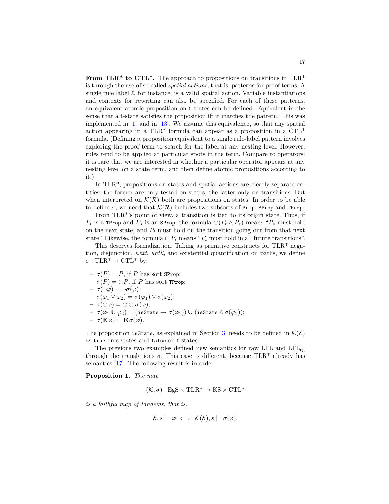**From TLR\*** to CTL<sup>\*</sup>. The approach to propositions on transitions in TLR<sup>\*</sup> is through the use of so-called *spatial actions*, that is, patterns for proof terms. A single rule label  $\ell$ , for instance, is a valid spatial action. Variable instantiations and contexts for rewriting can also be specified. For each of these patterns, an equivalent atomic proposition on t-states can be defined. Equivalent in the sense that a t-state satisfies the proposition iff it matches the pattern. This was implemented in [\[1\]](#page-26-6) and in [\[13\]](#page-26-7). We assume this equivalence, so that any spatial action appearing in a  $TLR^*$  formula can appear as a proposition in a  $CTL^*$ formula. (Defining a proposition equivalent to a single rule-label pattern involves exploring the proof term to search for the label at any nesting level. However, rules tend to be applied at particular spots in the term. Compare to operators: it is rare that we are interested in whether a particular operator appears at any nesting level on a state term, and then define atomic propositions according to it.)

In TLR\*, propositions on states and spatial actions are clearly separate entities: the former are only tested on states, the latter only on transitions. But when interpreted on  $\mathcal{K}(\mathcal{R})$  both are propositions on states. In order to be able to define  $\sigma$ , we need that  $\mathcal{K}(\mathcal{R})$  includes two subsorts of Prop: SProp and TProp.

From TLR\*'s point of view, a transition is tied to its origin state. Thus, if  $P_t$  is a TProp and  $P_s$  is an SProp, the formula  $\bigcirc (P_t \wedge P_s)$  means " $P_s$  must hold on the next state, and *P<sup>t</sup>* must hold on the transition going out from that next state". Likewise, the formula  $\Box P_t$  means " $P_t$  must hold in all future transitions".

This deserves formalization. Taking as primitive constructs for  $TLR^*$  negation, disjunction, *next*, *until*, and existential quantification on paths, we define  $\sigma: TLR^* \to CTL^*$  by:

$$
\begin{aligned}\n&-\sigma(P) = P, \text{ if } P \text{ has sort } \text{SProp}; \\
&-\sigma(P) = \bigcirc P, \text{ if } P \text{ has sort } \text{Prop}; \\
&-\sigma(\neg \varphi) = \neg \sigma(\varphi); \\
&-\sigma(\varphi_1 \vee \varphi_2) = \sigma(\varphi_1) \vee \sigma(\varphi_2); \\
&-\sigma(\bigcirc \varphi) = \bigcirc \bigcirc \sigma(\varphi); \\
&-\sigma(\varphi_1 \mathbf{U} \varphi_2) = (\text{isState } \rightarrow \sigma(\varphi_1)) \mathbf{U} (\text{isState } \wedge \sigma(\varphi_2)); \\
&-\sigma(\mathbf{E} \varphi) = \mathbf{E} \sigma(\varphi).\n\end{aligned}
$$

The proposition is State, as explained in Section [3,](#page-9-0) needs to be defined in  $\mathcal{K}(\mathcal{E})$ as true on s-states and false on t-states.

The previous two examples defined new semantics for raw LTL and  $LTL_{ee}$ through the translations  $\sigma$ . This case is different, because  $TLR^*$  already has semantics [\[17\]](#page-27-1). The following result is in order.

**Proposition 1.** *The map*

$$
(\mathcal{K}, \sigma) : \text{EgS} \times \text{TLR}^* \to \text{KS} \times \text{CTL}^*
$$

*is a faithful map of tandems, that is,*

$$
\mathcal{E}, s \models \varphi \iff \mathcal{K}(\mathcal{E}), s \models \sigma(\varphi).
$$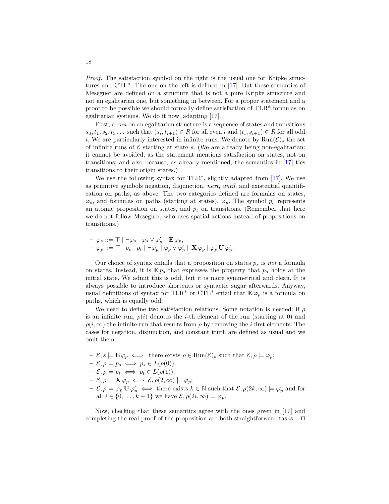*Proof.* The satisfaction symbol on the right is the usual one for Kripke structures and CTL\*. The one on the left is defined in [\[17\]](#page-27-1). But these semantics of Meseguer are defined on a structure that is not a pure Kripke structure and not an egalitarian one, but something in between. For a proper statement and a proof to be possible we should formally define satisfaction of TLR\* formulas on egalitarian systems. We do it now, adapting [\[17\]](#page-27-1).

First, a *run* on an egalitarian structure is a sequence of states and transitions  $s_0, t_1, s_2, t_3, \ldots$  such that  $(s_i, t_{i+1}) \in R$  for all even *i* and  $(t_i, s_{i+1}) \in R$  for all odd *i*. We are particularly interested in infinite runs. We denote by  $\text{Run}(\mathcal{E})_s$  the set of infinite runs of  $\mathcal E$  starting at state *s*. (We are already being non-egalitarian: it cannot be avoided, as the statement mentions satisfaction on states, not on transitions, and also because, as already mentioned, the semantics in [\[17\]](#page-27-1) ties transitions to their origin states.)

We use the following syntax for  $TLR^*$ , slightly adapted from [\[17\]](#page-27-1). We use as primitive symbols negation, disjunction, *next*, *until*, and existential quantification on paths, as above. The two categories defined are formulas on states,  $\varphi_s$ , and formulas on paths (starting at states),  $\varphi_p$ . The symbol  $p_s$  represents an atomic proposition on states, and  $p_t$  on transitions. (Remember that here we do not follow Meseguer, who uses spatial actions instead of propositions on transitions.)

$$
\begin{aligned}\n &-\varphi_s::=\top\mid\neg\varphi_s\mid\varphi_s\vee\varphi'_s\mid\mathbf{E}\,\varphi_p, \\
 &-\varphi_p::=\top\mid p_s\mid p_t\mid\neg\varphi_p\mid\varphi_p\vee\varphi'_p\mid\mathbf{X}\,\varphi_p\mid\varphi_p\,\mathbf{U}\,\varphi'_p.\n\end{aligned}
$$

Our choice of syntax entails that a proposition on states  $p<sub>s</sub>$  is *not* a formula on states. Instead, it is  $\mathbf{E} p_s$  that expresses the property that  $p_s$  holds at the initial state. We admit this is odd, but it is more symmetrical and clean. It is always possible to introduce shortcuts or syntactic sugar afterwards. Anyway, usual definitions of syntax for TLR<sup>\*</sup> or CTL<sup>\*</sup> entail that  $\mathbf{E}\varphi_p$  is a formula on paths, which is equally odd.

We need to define two satisfaction relations. Some notation is needed: if *ρ* is an infinite run,  $\rho(i)$  denotes the *i*-th element of the run (starting at 0) and  $\rho(i,\infty)$  the infinite run that results from  $\rho$  by removing the *i* first elements. The cases for negation, disjunction, and constant truth are defined as usual and we omit them.

 $\mathcal{L} = \mathcal{E}, s \models \mathbf{E} \varphi_p \iff \text{there exists } \rho \in \text{Run}(\mathcal{E})_s \text{ such that } \mathcal{E}, \rho \models \varphi_p;$  $- \mathcal{E}, \rho \models p_s \iff p_s \in L(\rho(0));$  $- \mathcal{E}, \rho \models p_t \iff p_t \in L(\rho(1));$  $\mathcal{E}, \rho \models \mathbf{X} \varphi_p \iff \mathcal{E}, \rho(2,\infty) \models \varphi_p;$  $\mathcal{L} = \mathcal{E}, \rho \models \varphi_p \mathbf{U} \varphi'_p \iff \text{there exists } k \in \mathbb{N} \text{ such that } \mathcal{E}, \rho(2k, \infty) \models \varphi'_p \text{ and for } p \in \mathcal{E}.$ all  $i \in \{0, \ldots, k-1\}$  we have  $\mathcal{E}, \rho(2i, \infty) \models \varphi_p$ .

Now, checking that these semantics agree with the ones given in [\[17\]](#page-27-1) and completing the real proof of the proposition are both straightforward tasks.  $\Box$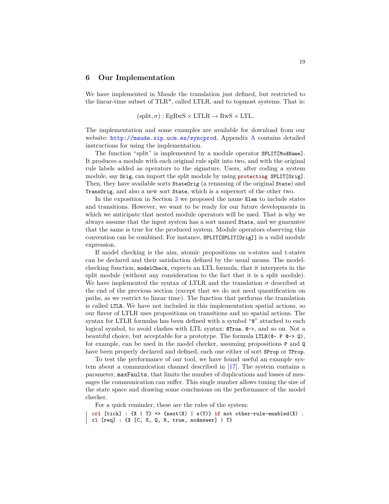## <span id="page-18-0"></span>**6 Our Implementation**

We have implemented in Maude the translation just defined, but restricted to the linear-time subset of TLR\*, called LTLR, and to topmost systems. That is:

 $(split, \sigma) : EgRwS \times LTLR \rightarrow RwS \times LTL.$ 

The implementation and some examples are available for download from our website: <http://maude.sip.ucm.es/syncprod>. Appendix [A](#page-23-0) contains detailed instructions for using the implementation.

The function "split" is implemented by a module operator SPLIT[ModName]. It produces a module with each original rule split into two, and with the original rule labels added as operators to the signature. Users, after coding a system module, say Orig, can import the split module by using **protecting** SPLIT[Orig]. Then, they have available sorts StateOrig (a renaming of the original State) and TransOrig, and also a new sort State, which is a supersort of the other two.

In the exposition in Section [3](#page-9-0) we proposed the name Elem to include states and transitions. However, we want to be ready for our future developments in which we anticipate that nested module operators will be used. That is why we always assume that the input system has a sort named State, and we guarantee that the same is true for the produced system. Module operators observing this convention can be combined. For instance, SPLIT[SPLIT[Orig]] is a valid module expression.

If model checking is the aim, atomic propositions on s-states and t-states can be declared and their satisfaction defined by the usual means. The modelchecking function, modelCheck, expects an LTL formula, that it interprets in the split module (without any consideration to the fact that it is a split module). We have implemented the syntax of LTLR and the translation  $\sigma$  described at the end of the previous section (except that we do not need quantification on paths, as we restrict to linear time). The function that performs the translation is called LTLR. We have not included in this implementation spatial actions, so our flavor of LTLR uses propositions on transitions and no spatial actions. The syntax for LTLR formulas has been defined with a symbol "@" attached to each logical symbol, to avoid clashes with LTL syntax: @True, @->, and so on. Not a beautiful choice, but acceptable for a prototype. The formula LTLR( $@$  -  $P$  $@$ -> $Q$ ), for example, can be used in the model checker, assuming propositions P and Q have been properly declared and defined, each one either of sort SProp or TProp.

To test the performance of our tool, we have found useful an example system about a communication channel described in [\[17\]](#page-27-1). The system contains a parameter, maxFaults, that limits the number of duplications and losses of messages the communication can suffer. This single number allows tuning the size of the state space and drawing some conclusions on the performance of the model checker.

For a quick reminder, these are the rules of the system:

```
crl [tick] : \{X | T\} => \{next(X) | s(T)\} if not other-rule-enabled(X).
rl [req] : {X [C, S, Q, N, true, noAnswer] | T}
```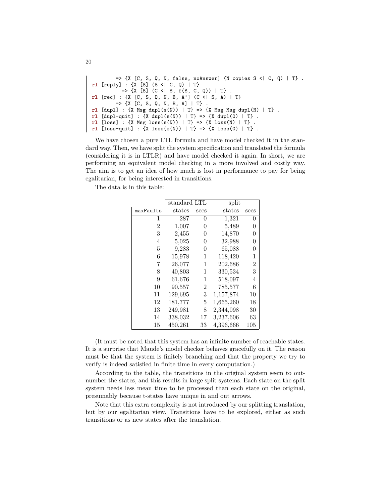```
\Rightarrow {X [C, S, Q, N, false, noAnswer] (N copies S <| C, Q) | T}.
rl [reply] : {X [S] (S <| C, Q) | T}
             \implies \{X \ [\mathbb{S}] \ (\mathbb{C} \ < \ \mid \ \mathbb{S}, \ \ \mathbf{f}(\mathbb{S}, \ \mathbb{C}, \ \mathbb{Q})) \ |\ \ \mathbb{T}\} \ .rl [rec] : {X [C, S, Q, N, B, A'] (C <| S, A) | T}
           \Rightarrow {X [C, S, Q, N, B, A] | T}.
r1 [dupl] : {X Msg dupl(s(N)) | T} => {X Msg Msg dupl(N) | T}.
r1 [dupl-quit] : {X dupl(s(N)) | T} => {X dupl(0) | T}.
r1 [loss] : {X Msg loss(s(N)) | T} => {X loss(N) | T} .
rl [loss-quit] : \{X \text{ loss}(s(N)) | T\} \Rightarrow \{X \text{ loss}(0) | T\}.
```
We have chosen a pure LTL formula and have model checked it in the standard way. Then, we have split the system specification and translated the formula (considering it is in LTLR) and have model checked it again. In short, we are performing an equivalent model checking in a more involved and costly way. The aim is to get an idea of how much is lost in performance to pay for being egalitarian, for being interested in transitions.

The data is in this table:

|           | standard LTL    |                | split     |                |
|-----------|-----------------|----------------|-----------|----------------|
| maxFaults | $_{\rm states}$ | secs           | states    | secs           |
| 1         | 287             | 0              | 1,321     | 0              |
| 2         | 1,007           | $\theta$       | 5,489     | 0              |
| 3         | 2,455           | $\overline{0}$ | 14,870    | 0              |
| 4         | 5,025           | $\overline{0}$ | 32,988    | 0              |
| 5         | 9,283           | $\overline{0}$ | 65,088    | 0              |
| 6         | 15,978          | 1              | 118,420   | $\mathbf 1$    |
| 7         | 26,077          | 1              | 202,686   | $\overline{2}$ |
| 8         | 40,803          | 1              | 330,534   | $\sqrt{3}$     |
| 9         | 61,676          | 1              | 518,097   | 4              |
| 10        | 90,557          | $\overline{2}$ | 785,577   | 6              |
| 11        | 129,695         | 3              | 1,157,874 | 10             |
| 12        | 181,777         | 5              | 1,665,260 | 18             |
| 13        | 249,981         | 8              | 2,344,098 | 30             |
| 14        | 338,032         | 17             | 3,237,606 | 63             |
| 15        | 450,261         | 33             | 4,396,666 | 105            |

(It must be noted that this system has an infinite number of reachable states. It is a surprise that Maude's model checker behaves gracefully on it. The reason must be that the system is finitely branching and that the property we try to verify is indeed satisfied in finite time in every computation.)

According to the table, the transitions in the original system seem to outnumber the states, and this results in large split systems. Each state on the split system needs less mean time to be processed than each state on the original, presumably because t-states have unique in and out arrows.

Note that this extra complexity is not introduced by our splitting translation, but by our egalitarian view. Transitions have to be explored, either as such transitions or as new states after the translation.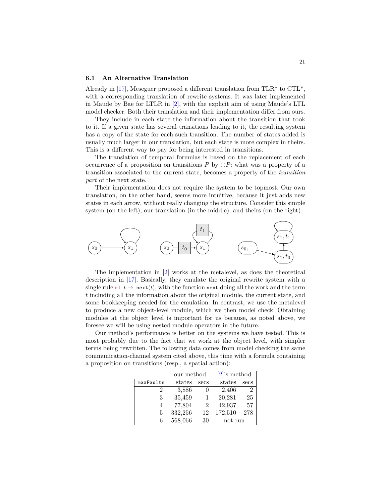#### <span id="page-20-0"></span>**6.1 An Alternative Translation**

Already in [\[17\]](#page-27-1), Meseguer proposed a different translation from  $TLR^*$  to  $CTL^*$ . with a corresponding translation of rewrite systems. It was later implemented in Maude by Bae for LTLR in [\[2\]](#page-26-5), with the explicit aim of using Maude's LTL model checker. Both their translation and their implementation differ from ours.

They include in each state the information about the transition that took to it. If a given state has several transitions leading to it, the resulting system has a copy of the state for each such transition. The number of states added is usually much larger in our translation, but each state is more complex in theirs. This is a different way to pay for being interested in transitions.

The translation of temporal formulas is based on the replacement of each occurrence of a proposition on transitions  $P$  by  $\bigcirc P$ : what was a property of a transition associated to the current state, becomes a property of the *transition part* of the next state.

Their implementation does not require the system to be topmost. Our own translation, on the other hand, seems more intuitive, because it just adds new states in each arrow, without really changing the structure. Consider this simple system (on the left), our translation (in the middle), and theirs (on the right):



The implementation in [\[2\]](#page-26-5) works at the metalevel, as does the theoretical description in [\[17\]](#page-27-1). Basically, they emulate the original rewrite system with a single rule **rl**  $t \to \text{next}(t)$ , with the function next doing all the work and the term *t* including all the information about the original module, the current state, and some bookkeeping needed for the emulation. In contrast, we use the metalevel to produce a new object-level module, which we then model check. Obtaining modules at the object level is important for us because, as noted above, we foresee we will be using nested module operators in the future.

Our method's performance is better on the systems we have tested. This is most probably due to the fact that we work at the object level, with simpler terms being rewritten. The following data comes from model checking the same communication-channel system cited above, this time with a formula containing a proposition on transitions (resp., a spatial action):

|           | our method |      | $[2]$ 's method |      |
|-----------|------------|------|-----------------|------|
| maxFaults | states     | secs | states          | secs |
| 2         | 3,886      |      | 2,406           | 2    |
| 3         | 35,459     |      | 20,281          | 25   |
|           | 77,804     | 2    | 42,937          | 57   |
| 5         | 332,256    | 12   | 172,510         | 278  |
| 6         | 568,066    | 30   | not run         |      |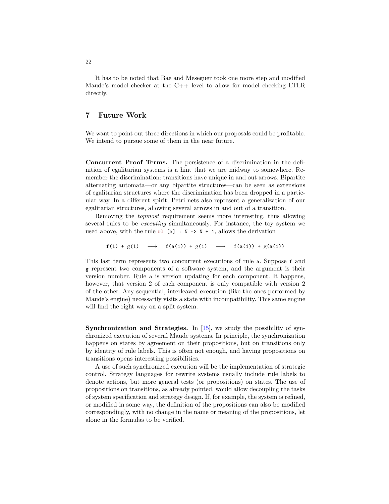It has to be noted that Bae and Meseguer took one more step and modified Maude's model checker at the C++ level to allow for model checking LTLR directly.

# <span id="page-21-0"></span>**7 Future Work**

We want to point out three directions in which our proposals could be profitable. We intend to pursue some of them in the near future.

**Concurrent Proof Terms.** The persistence of a discrimination in the definition of egalitarian systems is a hint that we are midway to somewhere. Remember the discrimination: transitions have unique in and out arrows. Bipartite alternating automata—or any bipartite structures—can be seen as extensions of egalitarian structures where the discrimination has been dropped in a particular way. In a different spirit, Petri nets also represent a generalization of our egalitarian structures, allowing several arrows in and out of a transition.

Removing the *topmost* requirement seems more interesting, thus allowing several rules to be *executing* simultaneously. For instance, the toy system we used above, with the rule  $r1$  [a] :  $N \Rightarrow N + 1$ , allows the derivation

$$
f(1) + g(1) \longrightarrow f(a(1)) + g(1) \longrightarrow f(a(1)) + g(a(1))
$$

This last term represents two concurrent executions of rule a. Suppose f and g represent two components of a software system, and the argument is their version number. Rule a is version updating for each component. It happens, however, that version 2 of each component is only compatible with version 2 of the other. Any sequential, interleaved execution (like the ones performed by Maude's engine) necessarily visits a state with incompatibility. This same engine will find the right way on a split system.

**Synchronization and Strategies.** In [\[15\]](#page-27-6), we study the possibility of synchronized execution of several Maude systems. In principle, the synchronization happens on states by agreement on their propositions, but on transitions only by identity of rule labels. This is often not enough, and having propositions on transitions opens interesting possibilities.

A use of such synchronized execution will be the implementation of strategic control. Strategy languages for rewrite systems usually include rule labels to denote actions, but more general tests (or propositions) on states. The use of propositions on transitions, as already pointed, would allow decoupling the tasks of system specification and strategy design. If, for example, the system is refined, or modified in some way, the definition of the propositions can also be modified correspondingly, with no change in the name or meaning of the propositions, let alone in the formulas to be verified.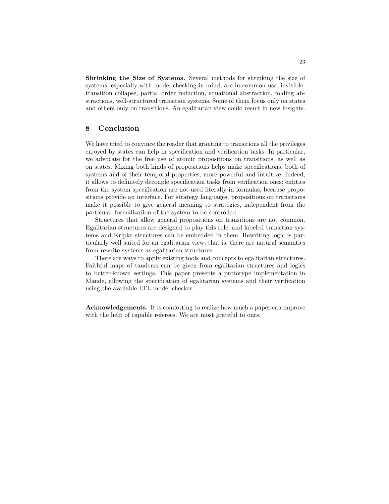**Shrinking the Size of Systems.** Several methods for shrinking the size of systems, especially with model checking in mind, are in common use: invisibletransition collapse, partial order reduction, equational abstraction, folding abstractions, well-structured transition systems. Some of them focus only on states and others only on transitions. An egalitarian view could result in new insights.

## <span id="page-22-0"></span>**8 Conclusion**

We have tried to convince the reader that granting to transitions all the privileges enjoyed by states can help in specification and verification tasks. In particular, we advocate for the free use of atomic propositions on transitions, as well as on states. Mixing both kinds of propositions helps make specifications, both of systems and of their temporal properties, more powerful and intuitive. Indeed, it allows to definitely decouple specification tasks from verification ones: entities from the system specification are not used literally in formulas, because propositions provide an interface. For strategy languages, propositions on transitions make it possible to give general meaning to strategies, independent from the particular formalization of the system to be controlled.

Structures that allow general propositions on transitions are not common. Egalitarian structures are designed to play this role, and labeled transition systems and Kripke structures can be embedded in them. Rewriting logic is particularly well suited for an egalitarian view, that is, there are natural semantics from rewrite systems as egalitarian structures.

There are ways to apply existing tools and concepts to egalitarian structures. Faithful maps of tandems can be given from egalitarian structures and logics to better-known settings. This paper presents a prototype implementation in Maude, allowing the specification of egalitarian systems and their verification using the available LTL model checker.

**Acknowledgements.** It is comforting to realize how much a paper can improve with the help of capable referees. We are most grateful to ours.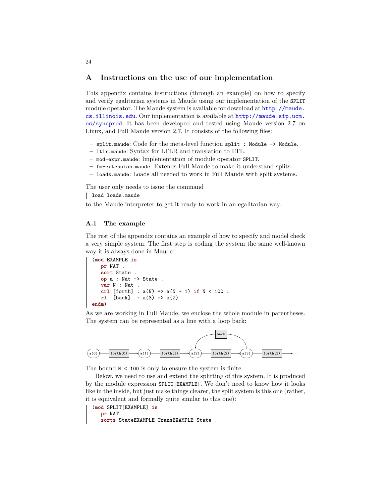# <span id="page-23-0"></span>**A Instructions on the use of our implementation**

This appendix contains instructions (through an example) on how to specify and verify egalitarian systems in Maude using our implementation of the SPLIT module operator. The Maude system is available for download at [http://maude.](http://maude.cs.illinois.edu) [cs.illinois.edu](http://maude.cs.illinois.edu). Our implementation is available at [http://maude.sip.ucm.](http://maude.sip.ucm.es/syncprod) [es/syncprod](http://maude.sip.ucm.es/syncprod). It has been developed and tested using Maude version 2.7 on Linux, and Full Maude version 2.7. It consists of the following files:

- **–** split.maude: Code for the meta-level function split : Module -> Module.
- **–** ltlr.maude: Syntax for LTLR and translation to LTL.
- **–** mod-expr.maude: Implementation of module operator SPLIT.
- **–** fm-extension.maude: Extends Full Maude to make it understand splits.
- **–** loads.maude: Loads all needed to work in Full Maude with split systems.

The user only needs to issue the command

| load loads.maude

to the Maude interpreter to get it ready to work in an egalitarian way.

### <span id="page-23-1"></span>**A.1 The example**

The rest of the appendix contains an example of how to specify and model check a very simple system. The first step is coding the system the same well-known way it is always done in Maude:

```
(mod EXAMPLE is
   pr NAT .
   sort State .
   op a : Nat -> State .
   var N : Nat .
   crl [forth] : a(N) \Rightarrow a(N + 1) if N < 100.
   rl [back] : a(3) => a(2) .
endm)
```
As we are working in Full Maude, we enclose the whole module in parentheses. The system can be represented as a line with a loop back:



The bound  $N < 100$  is only to ensure the system is finite.

Below, we need to use and extend the splitting of this system. It is produced by the module expression SPLIT[EXAMPLE]. We don't need to know how it looks like in the inside, but just make things clearer, the split system is this one (rather, it is equivalent and formally quite similar to this one):

(**mod** SPLIT[EXAMPLE] **is pr** NAT . **sorts** StateEXAMPLE TransEXAMPLE State .

24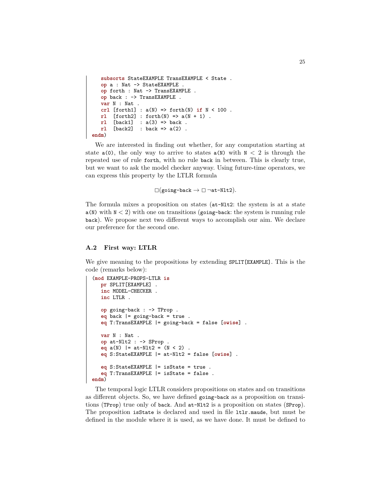```
subsorts StateEXAMPLE TransEXAMPLE < State .
  op a : Nat -> StateEXAMPLE .
  op forth : Nat -> TransEXAMPLE .
  op back : -> TransEXAMPLE .
  var N : Nat .
  crl [forth1] : a(N) \Rightarrow forth(N) if N < 100.
  rl [forth2] : forth(N) => a(N + 1).
  rl [back1] : a(3) => back .
  rl [back2] : back => a(2) .
endm)
```
We are interested in finding out whether, for any computation starting at state  $a(0)$ , the only way to arrive to states  $a(N)$  with  $N < 2$  is through the repeated use of rule forth, with no rule back in between. This is clearly true, but we want to ask the model checker anyway. Using future-time operators, we can express this property by the LTLR formula

 $\Box$ (going-back  $\rightarrow$   $\Box$   $\neg$ at-N1t2).

The formula mixes a proposition on states (at-Nlt2: the system is at a state  $a(N)$  with  $N < 2$ ) with one on transitions (going-back: the system is running rule back). We propose next two different ways to accomplish our aim. We declare our preference for the second one.

#### <span id="page-24-0"></span>**A.2 First way: LTLR**

We give meaning to the propositions by extending SPLIT [EXAMPLE]. This is the code (remarks below):

```
(mod EXAMPLE-PROPS-LTLR is
  pr SPLIT[EXAMPLE] .
  inc MODEL-CHECKER .
  inc LTLR .
  op going-back : -> TProp .
  eq back |= going-back = true .
  eq T:TransEXAMPLE |= going-back = false [owise] .
  var N : Nat .
  op at-Nlt2 : -> SProp .
  eq a(N) |= at-Nlt2 = (N < 2).
  eq S:StateEXAMPLE |= at-Nlt2 = false [owise] .
   eq S:StateEXAMPLE |= isState = true .
   eq T:TransEXAMPLE |= isState = false .
endm)
```
The temporal logic LTLR considers propositions on states and on transitions as different objects. So, we have defined going-back as a proposition on transitions (TProp) true only of back. And at-Nlt2 is a proposition on states (SProp). The proposition isState is declared and used in file ltlr.maude, but must be defined in the module where it is used, as we have done. It must be defined to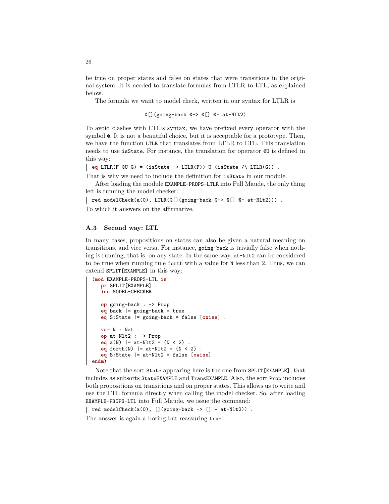be true on proper states and false on states that were transitions in the original system. It is needed to translate formulas from LTLR to LTL, as explained below.

The formula we want to model check, written in our syntax for LTLR is

#### @[](going-back @-> @[] @˜ at-Nlt2)

To avoid clashes with LTL's syntax, we have prefixed every operator with the symbol @. It is not a beautiful choice, but it is acceptable for a prototype. Then, we have the function LTLR that translates from LTLR to LTL. This translation needs to use isState. For instance, the translation for operator @U is defined in this way:

**eq** LTLR(F @U G) = (isState -> LTLR(F)) U (isState /\ LTLR(G)) .

That is why we need to include the definition for isState in our module. After loading the module EXAMPLE-PROPS-LTLR into Full Maude, the only thing left is running the model checker:

```
\vert red modelCheck(a(0), LTLR(@[](going-back @-> @[] @~ at-Nlt2))).
```
To which it answers on the affirmative.

#### <span id="page-25-0"></span>**A.3 Second way: LTL**

In many cases, propositions on states can also be given a natural meaning on transitions, and vice versa. For instance, going-back is trivially false when nothing is running, that is, on any state. In the same way, at-Nlt2 can be considered to be true when running rule forth with a value for N less than 2. Thus, we can extend SPLIT[EXAMPLE] in this way:

```
(mod EXAMPLE-PROPS-LTL is
  pr SPLIT[EXAMPLE] .
   inc MODEL-CHECKER .
   op going-back : -> Prop .
   eq back |= going-back = true .
   eq S:State |= going-back = false [owise] .
  var N : Nat .
  op at-Nlt2 : -> Prop .
   eq a(N) |= at-Nlt2 = (N < 2).
   eq forth(N) | = at-N1t2 = (N < 2).
   eq S:State |= at-Nlt2 = false [owise] .
endm)
```
Note that the sort State appearing here is the one from SPLIT[EXAMPLE], that includes as subsorts StateEXAMPLE and TransEXAMPLE. Also, the sort Prop includes both propositions on transitions and on proper states. This allows us to write and use the LTL formula directly when calling the model checker. So, after loading EXAMPLE-PROPS-LTL into Full Maude, we issue the command:

red modelCheck(a(0),  $[]$ (going-back ->  $[] \sim$  at-Nlt2)). The answer is again a boring but reassuring true.

26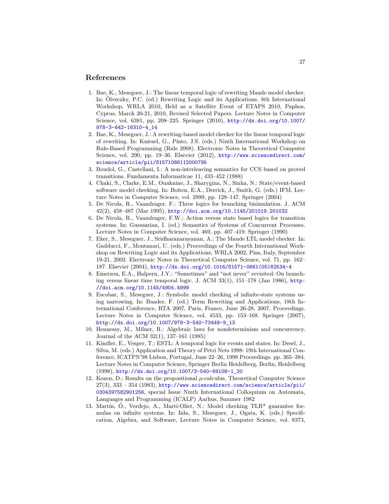## **References**

- <span id="page-26-6"></span>1. Bae, K., Meseguer, J.: The linear temporal logic of rewriting Maude model checker. In: Olveczky, P.C. (ed.) Rewriting Logic and its Applications. 8th International Workshop, WRLA 2010, Held as a Satellite Event of ETAPS 2010, Paphos, Cyprus, March 20-21, 2010, Revised Selected Papers. Lecture Notes in Computer Science, vol. 6381, pp. 208–225. Springer (2010), [http://dx.doi.org/10.1007/](http://dx.doi.org/10.1007/978-3-642-16310-4_14) [978-3-642-16310-4\\_14](http://dx.doi.org/10.1007/978-3-642-16310-4_14)
- <span id="page-26-5"></span>2. Bae, K., Meseguer, J.: A rewriting-based model checker for the linear temporal logic of rewriting. In: Kniesel, G., Pinto, J.S. (eds.) Ninth International Workshop on Rule-Based Programming (Rule 2008). Electronic Notes in Theoretical Computer Science, vol. 290, pp. 19–36. Elsevier (2012), [http://www.sciencedirect.com/](http://www.sciencedirect.com/science/article/pii/S1571066112000795) [science/article/pii/S1571066112000795](http://www.sciencedirect.com/science/article/pii/S1571066112000795)
- <span id="page-26-8"></span>3. Boudol, G., Castellani, I.: A non-interleaving semantics for CCS based on proved transitions. Fundamenta Informaticae 11, 433–452 (1988)
- <span id="page-26-2"></span>4. Chaki, S., Clarke, E.M., Ouaknine, J., Sharygina, N., Sinha, N.: State/event-based software model checking. In: Boiten, E.A., Derrick, J., Smith, G. (eds.) IFM. Lecture Notes in Computer Science, vol. 2999, pp. 128–147. Springer (2004)
- <span id="page-26-4"></span>5. De Nicola, R., Vaandrager, F.: Three logics for branching bisimulation. J. ACM 42(2), 458–487 (Mar 1995), <http://doi.acm.org/10.1145/201019.201032>
- <span id="page-26-1"></span>6. De Nicola, R., Vaandrager, F.W.: Action versus state based logics for transition systems. In: Guessarian, I. (ed.) Semantics of Systems of Concurrent Processes. Lecture Notes in Computer Science, vol. 469, pp. 407–419. Springer (1990)
- <span id="page-26-9"></span>7. Eker, S., Meseguer, J., Sridharanarayanan, A.: The Maude LTL model checker. In: Gadducci, F., Montanari, U. (eds.) Proceedings of the Fourth International Workshop on Rewriting Logic and its Applications, WRLA 2002, Pisa, Italy, September 19-21, 2002. Electronic Notes in Theoretical Computer Science, vol. 71, pp. 162– 187. Elsevier (2004), [http://dx.doi.org/10.1016/S1571-0661\(05\)82534-4](http://dx.doi.org/10.1016/S1571-0661(05)82534-4)
- <span id="page-26-12"></span>8. Emerson, E.A., Halpern, J.Y.: "Sometimes" and "not never" revisited: On branching versus linear time temporal logic. J. ACM 33(1), 151–178 (Jan 1986), [http:](http://doi.acm.org/10.1145/4904.4999) [//doi.acm.org/10.1145/4904.4999](http://doi.acm.org/10.1145/4904.4999)
- <span id="page-26-10"></span>9. Escobar, S., Meseguer, J.: Symbolic model checking of infinite-state systems using narrowing. In: Baader, F. (ed.) Term Rewriting and Applications, 18th International Conference, RTA 2007, Paris, France, June 26-28, 2007, Proceedings. Lecture Notes in Computer Science, vol. 4533, pp. 153–168. Springer (2007), [http://dx.doi.org/10.1007/978-3-540-73449-9\\_13](http://dx.doi.org/10.1007/978-3-540-73449-9_13)
- <span id="page-26-0"></span>10. Hennessy, M., Milner, R.: Algebraic laws for nondeterminism and concurrency. Journal of the ACM 32(1), 137–161 (1985)
- <span id="page-26-3"></span>11. Kindler, E., Vesper, T.: ESTL: A temporal logic for events and states. In: Desel, J., Silva, M. (eds.) Application and Theory of Petri Nets 1998: 19th International Conference, ICATPN'98 Lisbon, Portugal, June 22–26, 1998 Proceedings. pp. 365–384. Lecture Notes in Computer Science, Springer Berlin Heidelberg, Berlin, Heidelberg (1998), [http://dx.doi.org/10.1007/3-540-69108-1\\_20](http://dx.doi.org/10.1007/3-540-69108-1_20)
- <span id="page-26-11"></span>12. Kozen, D.: Results on the propositional *µ*-calculus. Theoretical Computer Science  $27(3)$ ,  $333 - 354$  (1983),  $http://www.sciencedirect.com/science/article/pii/$ [0304397582901256](http://www.sciencedirect.com/science/article/pii/0304397582901256), special Issue Ninth International Colloquium on Automata, Languages and Programming (ICALP) Aarhus, Summer 1982
- <span id="page-26-7"></span>13. Martín, O., Verdejo, A., Martí-Oliet, N.: Model checking  $TLR*$  guarantee formulas on infinite systems. In: Iida, S., Meseguer, J., Ogata, K. (eds.) Specification, Algebra, and Software, Lecture Notes in Computer Science, vol. 8373,